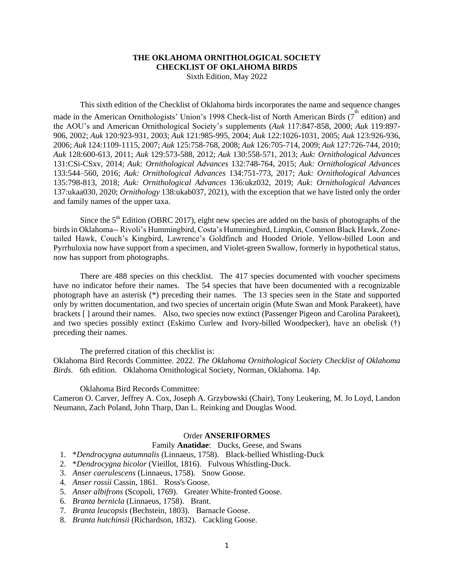# **THE OKLAHOMA ORNITHOLOGICAL SOCIETY CHECKLIST OF OKLAHOMA BIRDS** Sixth Edition, May 2022

#### This sixth edition of the Checklist of Oklahoma birds incorporates the name and sequence changes

made in the American Ornithologists' Union's 1998 Check-list of North American Birds  $(7^{\text{th}})$  edition) and the AOU's and American Ornithological Society's supplements (*Auk* 117:847-858, 2000; *Auk* 119:897- 906, 2002; *Auk* 120:923-931, 2003; *Auk* 121:985-995, 2004; *Auk* 122:1026-1031, 2005; *Auk* 123:926-936, 2006; *Auk* 124:1109-1115, 2007; *Auk* 125:758-768, 2008; *Auk* 126:705-714, 2009; *Auk* 127:726-744, 2010; *Auk* 128:600-613, 2011; *Auk* 129:573-588, 2012; *Auk* 130:558-571, 2013; *Auk: Ornithological Advances* 131:CSi-CSxv, 2014; *Auk: Ornithological Advances* 132:748-764, 2015; *Auk: Ornithological Advances* 133:544–560, 2016; *Auk: Ornithological Advances* 134:751-773, 2017; *Auk: Ornithological Advances* 135:798-813, 2018; *Auk: Ornithological Advances* 136:ukz032, 2019; *Auk: Ornithological Advances* 137:ukaa030, 2020; *Ornithology* 138:ukab037, 2021), with the exception that we have listed only the order and family names of the upper taxa.

Since the  $5<sup>th</sup>$  Edition (OBRC 2017), eight new species are added on the basis of photographs of the birds in Oklahoma-- Rivoli's Hummingbird, Costa's Hummingbird, Limpkin, Common Black Hawk, Zonetailed Hawk, Couch's Kingbird, Lawrence's Goldfinch and Hooded Oriole. Yellow-billed Loon and Pyrrhuloxia now have support from a specimen, and Violet-green Swallow, formerly in hypothetical status, now has support from photographs.

There are 488 species on this checklist. The 417 species documented with voucher specimens have no indicator before their names. The 54 species that have been documented with a recognizable photograph have an asterisk (\*) preceding their names. The 13 species seen in the State and supported only by written documentation, and two species of uncertain origin (Mute Swan and Monk Parakeet), have brackets [ ] around their names. Also, two species now extinct (Passenger Pigeon and Carolina Parakeet), and two species possibly extinct (Eskimo Curlew and Ivory-billed Woodpecker), have an obelisk (†) preceding their names.

The preferred citation of this checklist is:

Oklahoma Bird Records Committee. 2022. *The Oklahoma Ornithological Society Checklist of Oklahoma Birds*. 6th edition. Oklahoma Ornithological Society, Norman, Oklahoma. 14p.

#### Oklahoma Bird Records Committee:

Cameron O. Carver, Jeffrey A. Cox, Joseph A. Grzybowski (Chair), Tony Leukering, M. Jo Loyd, Landon Neumann, Zach Poland, John Tharp, Dan L. Reinking and Douglas Wood.

## Order **ANSERIFORMES**

# Family **Anatidae**: Ducks, Geese, and Swans

- 1. \**Dendrocygna autumnalis* (Linnaeus, 1758). Black-bellied Whistling-Duck
- 2. \**Dendrocygna bicolor* (Vieillot, 1816). Fulvous Whistling-Duck.
- 3. *Anser caerulescens* (Linnaeus, 1758). Snow Goose.
- 4. *Anser rossii* Cassin, 1861. Ross's Goose.
- 5. *Anser albifrons* (Scopoli, 1769). Greater White-fronted Goose.
- 6. *Branta bernicla* (Linnaeus, 1758). Brant.
- 7. *Branta leucopsis* (Bechstein, 1803). Barnacle Goose.
- 8. *Branta hutchinsii* (Richardson, 1832). Cackling Goose.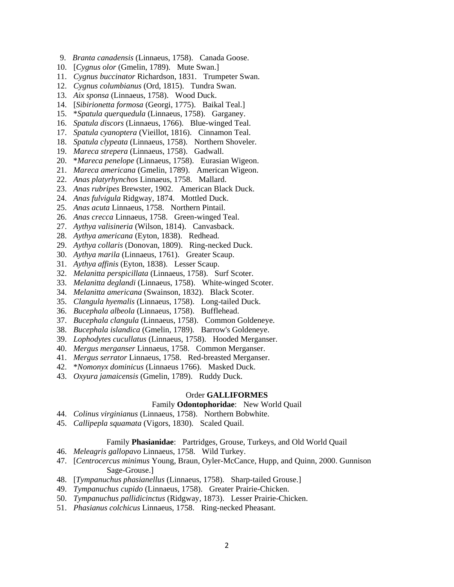- 9. *Branta canadensis* (Linnaeus, 1758). Canada Goose.
- 10. [*Cygnus olor* (Gmelin, 1789). Mute Swan.]
- 11. *Cygnus buccinator* Richardson, 1831. Trumpeter Swan.
- 12. *Cygnus columbianus* (Ord, 1815). Tundra Swan.
- 13. *Aix sponsa* (Linnaeus, 1758). Wood Duck.
- 14. [*Sibirionetta formosa* (Georgi, 1775). Baikal Teal.]
- 15. \**Spatula querquedula* (Linnaeus, 1758). Garganey.
- 16. *Spatula discors* (Linnaeus, 1766). Blue-winged Teal.
- 17. *Spatula cyanoptera* (Vieillot, 1816). Cinnamon Teal.
- 18. *Spatula clypeata* (Linnaeus, 1758). Northern Shoveler.
- 19. *Mareca strepera* (Linnaeus, 1758). Gadwall.
- 20. \**Mareca penelope* (Linnaeus, 1758). Eurasian Wigeon.
- 21. *Mareca americana* (Gmelin, 1789). American Wigeon.
- 22. *Anas platyrhynchos* Linnaeus, 1758. Mallard.
- 23. *Anas rubripes* Brewster, 1902. American Black Duck.
- 24. *Anas fulvigula* Ridgway, 1874. Mottled Duck.
- 25. *Anas acuta* Linnaeus, 1758. Northern Pintail.
- 26. *Anas crecca* Linnaeus, 1758. Green-winged Teal.
- 27. *Aythya valisineria* (Wilson, 1814). Canvasback.
- 28. *Aythya americana* (Eyton, 1838). Redhead.
- 29. *Aythya collaris* (Donovan, 1809). Ring-necked Duck.
- 30. *Aythya marila* (Linnaeus, 1761). Greater Scaup.
- 31. *Aythya affinis* (Eyton, 1838). Lesser Scaup.
- 32. *Melanitta perspicillata* (Linnaeus, 1758). Surf Scoter.
- 33. *Melanitta deglandi* (Linnaeus, 1758). White-winged Scoter.
- 34. *Melanitta americana* (Swainson, 1832). Black Scoter.
- 35. *Clangula hyemalis* (Linnaeus, 1758). Long-tailed Duck.
- 36. *Bucephala albeola* (Linnaeus, 1758). Bufflehead.
- 37. *Bucephala clangula* (Linnaeus, 1758). Common Goldeneye.
- 38. *Bucephala islandica* (Gmelin, 1789). Barrow's Goldeneye.
- 39. *Lophodytes cucullatus* (Linnaeus, 1758). Hooded Merganser.
- 40. *Mergus merganser* Linnaeus, 1758. Common Merganser.
- 41. *Mergus serrator* Linnaeus, 1758. Red-breasted Merganser.
- 42. \**Nomonyx dominicus* (Linnaeus 1766). Masked Duck.
- 43. *Oxyura jamaicensis* (Gmelin, 1789). Ruddy Duck.

# Order **GALLIFORMES**

# Family **Odontophoridae**: New World Quail

- 44. *Colinus virginianus* (Linnaeus, 1758). Northern Bobwhite.
- 45. *Callipepla squamata* (Vigors, 1830). Scaled Quail.

#### Family **Phasianidae**: Partridges, Grouse, Turkeys, and Old World Quail

- 46. *Meleagris gallopavo* Linnaeus, 1758. Wild Turkey.
- 47. [*Centrocercus minimus* Young, Braun, Oyler-McCance, Hupp, and Quinn, 2000. Gunnison Sage-Grouse.]
- 48. [*Tympanuchus phasianellus* (Linnaeus, 1758). Sharp-tailed Grouse.]
- 49. *Tympanuchus cupido* (Linnaeus, 1758). Greater Prairie-Chicken.
- 50. *Tympanuchus pallidicinctus* (Ridgway, 1873). Lesser Prairie-Chicken.
- 51. *Phasianus colchicus* Linnaeus, 1758. Ring-necked Pheasant.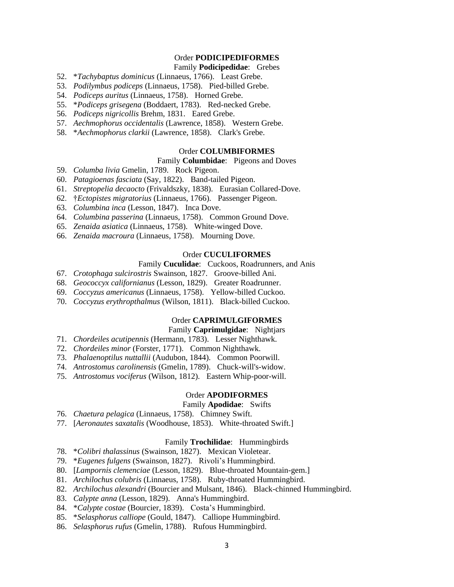# Order **PODICIPEDIFORMES**

# Family **Podicipedidae**: Grebes

- 52. \**Tachybaptus dominicus* (Linnaeus, 1766). Least Grebe.
- 53. *Podilymbus podiceps* (Linnaeus, 1758). Pied-billed Grebe.
- 54. *Podiceps auritus* (Linnaeus, 1758). Horned Grebe.
- 55. \**Podiceps grisegena* (Boddaert, 1783). Red-necked Grebe.
- 56. *Podiceps nigricollis* Brehm, 1831. Eared Grebe.
- 57. *Aechmophorus occidentalis* (Lawrence, 1858). Western Grebe.
- 58. \**Aechmophorus clarkii* (Lawrence, 1858). Clark's Grebe.

### Order **COLUMBIFORMES**

## Family **Columbidae**: Pigeons and Doves

- 59. *Columba livia* Gmelin, 1789. Rock Pigeon.
- 60. *Patagioenas fasciata* (Say, 1822). Band-tailed Pigeon.
- 61. *Streptopelia decaocto* (Frivaldszky, 1838). Eurasian Collared-Dove.
- 62. †*Ectopistes migratorius* (Linnaeus, 1766). Passenger Pigeon.
- 63. *Columbina inca* (Lesson, 1847). Inca Dove.
- 64. *Columbina passerina* (Linnaeus, 1758). Common Ground Dove.
- 65. *Zenaida asiatica* (Linnaeus, 1758). White-winged Dove.
- 66. *Zenaida macroura* (Linnaeus, 1758). Mourning Dove.

# Order **CUCULIFORMES**

### Family **Cuculidae**: Cuckoos, Roadrunners, and Anis

- 67. *Crotophaga sulcirostris* Swainson, 1827. Groove-billed Ani.
- 68. *Geococcyx californianus* (Lesson, 1829). Greater Roadrunner.
- 69. *Coccyzus americanus* (Linnaeus, 1758). Yellow-billed Cuckoo.
- 70. *Coccyzus erythropthalmus* (Wilson, 1811). Black-billed Cuckoo.

## Order **CAPRIMULGIFORMES**

# Family **Caprimulgidae**: Nightjars

- 71. *Chordeiles acutipennis* (Hermann, 1783). Lesser Nighthawk.
- 72. *Chordeiles minor* (Forster, 1771). Common Nighthawk.
- 73. *Phalaenoptilus nuttallii* (Audubon, 1844). Common Poorwill.
- 74. *Antrostomus carolinensis* (Gmelin, 1789). Chuck-will's-widow.
- 75. *Antrostomus vociferus* (Wilson, 1812). Eastern Whip-poor-will.

#### Order **APODIFORMES**

#### Family **Apodidae**: Swifts

- 76. *Chaetura pelagica* (Linnaeus, 1758). Chimney Swift.
- 77. [*Aeronautes saxatalis* (Woodhouse, 1853). White-throated Swift.]

## Family **Trochilidae**: Hummingbirds

- 78. \**Colibri thalassinus* (Swainson, 1827). Mexican Violetear.
- 79. \**Eugenes fulgens* (Swainson, 1827). Rivoli's Hummingbird.
- 80. [*Lampornis clemenciae* (Lesson, 1829). Blue-throated Mountain-gem.]
- 81. *Archilochus colubris* (Linnaeus, 1758). Ruby-throated Hummingbird.
- 82. *Archilochus alexandri* (Bourcier and Mulsant, 1846). Black-chinned Hummingbird.
- 83. *Calypte anna* (Lesson, 1829). Anna's Hummingbird.
- 84. \**Calypte costae* (Bourcier, 1839). Costa's Hummingbird.
- 85. \**Selasphorus calliope* (Gould, 1847). Calliope Hummingbird.
- 86. *Selasphorus rufus* (Gmelin, 1788). Rufous Hummingbird.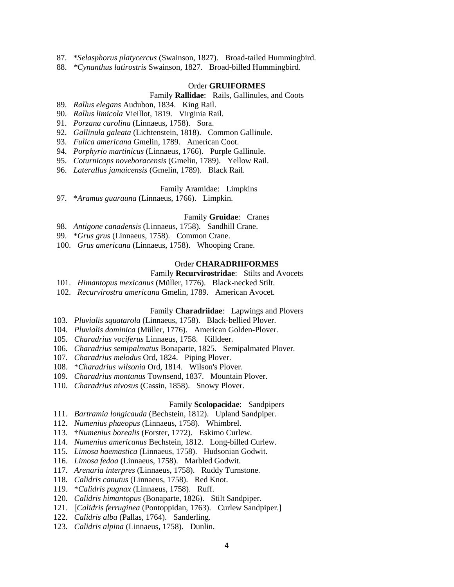- 87. \**Selasphorus platycercus* (Swainson, 1827). Broad-tailed Hummingbird.
- 88. *\*Cynanthus latirostris* Swainson, 1827. Broad-billed Hummingbird.

#### Order **GRUIFORMES**

#### Family **Rallidae**: Rails, Gallinules, and Coots

- 89. *Rallus elegans* Audubon, 1834. King Rail.
- 90. *Rallus limicola* Vieillot, 1819. Virginia Rail.
- 91. *Porzana carolina* (Linnaeus, 1758). Sora.
- 92. *Gallinula galeata* (Lichtenstein, 1818). Common Gallinule.
- 93. *Fulica americana* Gmelin, 1789. American Coot.
- 94. *Porphyrio martinicus* (Linnaeus, 1766). Purple Gallinule.
- 95. *Coturnicops noveboracensis* (Gmelin, 1789). Yellow Rail.
- 96. *Laterallus jamaicensis* (Gmelin, 1789). Black Rail.

Family Aramidae: Limpkins

97. \**Aramus guarauna* (Linnaeus, 1766). Limpkin.

#### Family **Gruidae**: Cranes

- 98. *Antigone canadensis* (Linnaeus, 1758). Sandhill Crane.
- 99. \**Grus grus* (Linnaeus, 1758). Common Crane.
- 100. *Grus americana* (Linnaeus, 1758). Whooping Crane.

### Order **CHARADRIIFORMES**

# Family **Recurvirostridae**: Stilts and Avocets

- 101. *Himantopus mexicanus* (Müller, 1776). Black-necked Stilt.
- 102. *Recurvirostra americana* Gmelin, 1789. American Avocet.

#### Family **Charadriidae**: Lapwings and Plovers

- 103. *Pluvialis squatarola* (Linnaeus, 1758). Black-bellied Plover.
- 104. *Pluvialis dominica* (Müller, 1776). American Golden-Plover.
- 105. *Charadrius vociferus* Linnaeus, 1758. Killdeer.
- 106. *Charadrius semipalmatus* Bonaparte, 1825. Semipalmated Plover.
- 107. *Charadrius melodus* Ord, 1824. Piping Plover.
- 108. \**Charadrius wilsonia* Ord, 1814. Wilson's Plover.
- 109. *Charadrius montanus* Townsend, 1837. Mountain Plover.
- 110. *Charadrius nivosus* (Cassin, 1858). Snowy Plover.

#### Family **Scolopacidae**: Sandpipers

- 111. *Bartramia longicauda* (Bechstein, 1812). Upland Sandpiper.
- 112. *Numenius phaeopus* (Linnaeus, 1758). Whimbrel.
- 113. †*Numenius borealis* (Forster, 1772). Eskimo Curlew.
- 114. *Numenius americanus* Bechstein, 1812. Long-billed Curlew.
- 115. *Limosa haemastica* (Linnaeus, 1758). Hudsonian Godwit.
- 116. *Limosa fedoa* (Linnaeus, 1758). Marbled Godwit.
- 117. *Arenaria interpres* (Linnaeus, 1758). Ruddy Turnstone.
- 118. *Calidris canutus* (Linnaeus, 1758). Red Knot.
- 119. \**Calidris pugnax* (Linnaeus, 1758). Ruff.
- 120. *Calidris himantopus* (Bonaparte, 1826). Stilt Sandpiper.
- 121. [*Calidris ferruginea* (Pontoppidan, 1763). Curlew Sandpiper.]
- 122. *Calidris alba* (Pallas, 1764). Sanderling.
- 123. *Calidris alpina* (Linnaeus, 1758). Dunlin.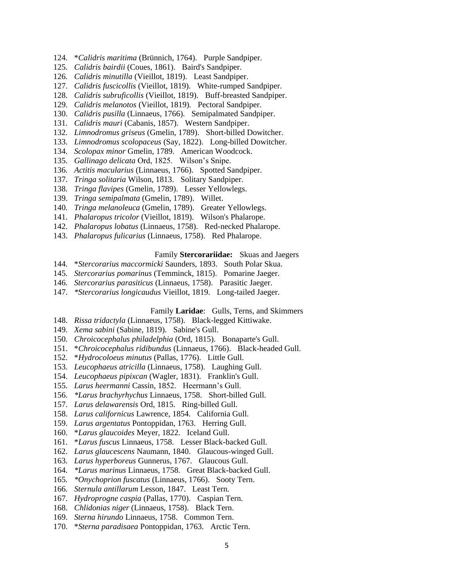- 124. \**Calidris maritima* (Brünnich, 1764). Purple Sandpiper.
- 125. *Calidris bairdii* (Coues, 1861). Baird's Sandpiper.
- 126. *Calidris minutilla* (Vieillot, 1819). Least Sandpiper.
- 127. *Calidris fuscicollis* (Vieillot, 1819). White-rumped Sandpiper.
- 128. *Calidris subruficollis* (Vieillot, 1819). Buff-breasted Sandpiper.
- 129. *Calidris melanotos* (Vieillot, 1819). Pectoral Sandpiper.
- 130. *Calidris pusilla* (Linnaeus, 1766). Semipalmated Sandpiper.
- 131. *Calidris mauri* (Cabanis, 1857). Western Sandpiper.
- 132. *Limnodromus griseus* (Gmelin, 1789). Short-billed Dowitcher.
- 133. *Limnodromus scolopaceus* (Say, 1822). Long-billed Dowitcher.
- 134. *Scolopax minor* Gmelin, 1789. American Woodcock.
- 135. *Gallinago delicata* Ord, 1825. Wilson's Snipe.
- 136. *Actitis macularius* (Linnaeus, 1766). Spotted Sandpiper.
- 137. *Tringa solitaria* Wilson, 1813. Solitary Sandpiper.
- 138. *Tringa flavipes* (Gmelin, 1789). Lesser Yellowlegs.
- 139. *Tringa semipalmata* (Gmelin, 1789). Willet.
- 140. *Tringa melanoleuca* (Gmelin, 1789). Greater Yellowlegs.
- 141. *Phalaropus tricolor* (Vieillot, 1819). Wilson's Phalarope.
- 142. *Phalaropus lobatus* (Linnaeus, 1758). Red-necked Phalarope.
- 143. *Phalaropus fulicarius* (Linnaeus, 1758). Red Phalarope.

# Family **Stercorariidae:** Skuas and Jaegers

- 144. \**Stercorarius maccormicki* Saunders, 1893. South Polar Skua.
- 145. *Stercorarius pomarinus* (Temminck, 1815). Pomarine Jaeger.
- 146. *Stercorarius parasiticus* (Linnaeus, 1758). Parasitic Jaeger.
- 147. *\*Stercorarius longicaudus* Vieillot, 1819. Long-tailed Jaeger.

### Family **Laridae**: Gulls, Terns, and Skimmers

- 148. *Rissa tridactyla* (Linnaeus, 1758). Black-legged Kittiwake.
- 149. *Xema sabini* (Sabine, 1819). Sabine's Gull.
- 150. *Chroicocephalus philadelphia* (Ord, 1815). Bonaparte's Gull.
- 151. \**Chroicocephalus ridibundus* (Linnaeus, 1766). Black-headed Gull.
- 152. \**Hydrocoloeus minutus* (Pallas, 1776). Little Gull.
- 153. *Leucophaeus atricilla* (Linnaeus, 1758). Laughing Gull.
- 154. *Leucophaeus pipixcan* (Wagler, 1831). Franklin's Gull.
- 155. *Larus heermanni* Cassin, 1852. Heermann's Gull.
- 156. *\*Larus brachyrhychus* Linnaeus, 1758. Short-billed Gull.
- 157. *Larus delawarensis* Ord, 1815. Ring-billed Gull.
- 158. *Larus californicus* Lawrence, 1854. California Gull.
- 159. *Larus argentatus* Pontoppidan, 1763. Herring Gull.
- 160. \**Larus glaucoides* Meyer, 1822. Iceland Gull.
- 161. \**Larus fuscus* Linnaeus, 1758. Lesser Black-backed Gull.
- 162. *Larus glaucescens* Naumann, 1840. Glaucous-winged Gull.
- 163. *Larus hyperboreus* Gunnerus, 1767. Glaucous Gull.
- 164. *\*Larus marinus* Linnaeus, 1758. Great Black-backed Gull.
- 165. *\*Onychoprion fuscatus* (Linnaeus, 1766). Sooty Tern.
- 166. *Sternula antillarum* Lesson, 1847. Least Tern.
- 167. *Hydroprogne caspia* (Pallas, 1770). Caspian Tern.
- 168. *Chlidonias niger* (Linnaeus, 1758). Black Tern.
- 169. *Sterna hirundo* Linnaeus, 1758. Common Tern.
- 170. \**Sterna paradisaea* Pontoppidan, 1763. Arctic Tern.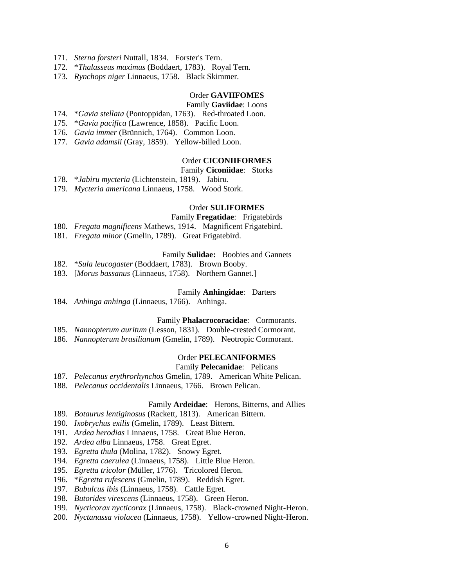- 171. *Sterna forsteri* Nuttall, 1834. Forster's Tern.
- 172. \**Thalasseus maximus* (Boddaert, 1783). Royal Tern.
- 173. *Rynchops niger* Linnaeus, 1758. Black Skimmer.

#### Order **GAVIIFOMES**

#### Family **Gaviidae**: Loons

- 174. \**Gavia stellata* (Pontoppidan, 1763). Red-throated Loon.
- 175. \**Gavia pacifica* (Lawrence, 1858). Pacific Loon.
- 176. *Gavia immer* (Brünnich, 1764). Common Loon.
- 177. *Gavia adamsii* (Gray, 1859). Yellow-billed Loon.

### Order **CICONIIFORMES**

#### Family **Ciconiidae**: Storks

178. \**Jabiru mycteria* (Lichtenstein, 1819). Jabiru.

179. *Mycteria americana* Linnaeus, 1758. Wood Stork.

### Order **SULIFORMES**

#### Family **Fregatidae**: Frigatebirds

- 180. *Fregata magnificens* Mathews, 1914. Magnificent Frigatebird.
- 181. *Fregata minor* (Gmelin, 1789). Great Frigatebird.

## Family **Sulidae:** Boobies and Gannets

- 182. \**Sula leucogaster* (Boddaert, 1783). Brown Booby.
- 183. [*Morus bassanus* (Linnaeus, 1758). Northern Gannet.]

#### Family **Anhingidae**: Darters

184. *Anhinga anhinga* (Linnaeus, 1766). Anhinga.

#### Family **Phalacrocoracidae**: Cormorants.

- 185. *Nannopterum auritum* (Lesson, 1831). Double-crested Cormorant.
- 186. *Nannopterum brasilianum* (Gmelin, 1789). Neotropic Cormorant.

#### Order **PELECANIFORMES**

# Family **Pelecanidae**: Pelicans

- 187. *Pelecanus erythrorhynchos* Gmelin, 1789. American White Pelican.
- 188. *Pelecanus occidentalis* Linnaeus, 1766. Brown Pelican.

#### Family **Ardeidae**: Herons, Bitterns, and Allies

- 189. *Botaurus lentiginosus* (Rackett, 1813). American Bittern.
- 190. *Ixobrychus exilis* (Gmelin, 1789). Least Bittern.
- 191. *Ardea herodias* Linnaeus, 1758. Great Blue Heron.
- 192. *Ardea alba* Linnaeus, 1758. Great Egret.
- 193. *Egretta thula* (Molina, 1782). Snowy Egret.
- 194. *Egretta caerulea* (Linnaeus, 1758). Little Blue Heron.
- 195. *Egretta tricolor* (Müller, 1776). Tricolored Heron.
- 196. \**Egretta rufescens* (Gmelin, 1789). Reddish Egret.
- 197. *Bubulcus ibis* (Linnaeus, 1758). Cattle Egret.
- 198. *Butorides virescens* (Linnaeus, 1758). Green Heron.
- 199. *Nycticorax nycticorax* (Linnaeus, 1758). Black-crowned Night-Heron.
- 200. *Nyctanassa violacea* (Linnaeus, 1758). Yellow-crowned Night-Heron.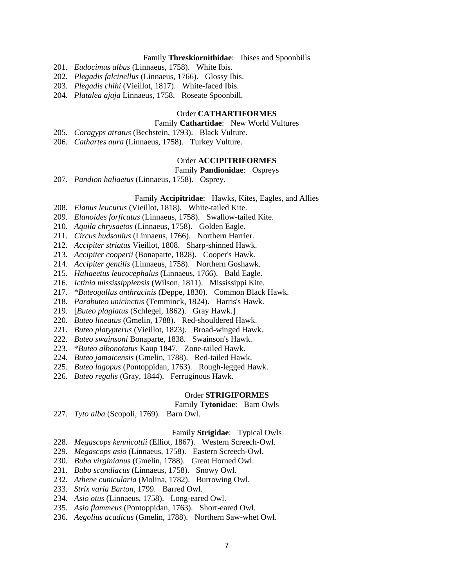### Family **Threskiornithidae**: Ibises and Spoonbills

- 201. *Eudocimus albus* (Linnaeus, 1758). White Ibis.
- 202. *Plegadis falcinellus* (Linnaeus, 1766). Glossy Ibis.
- 203. *Plegadis chihi* (Vieillot, 1817). White-faced Ibis.
- 204. *Platalea ajaja* Linnaeus, 1758. Roseate Spoonbill.

# Order **CATHARTIFORMES**

#### Family **Cathartidae**: New World Vultures

- 205. *Coragyps atratus* (Bechstein, 1793). Black Vulture.
- 206. *Cathartes aura* (Linnaeus, 1758). Turkey Vulture.

## Order **ACCIPITRIFORMES**

### Family **Pandionidae**: Ospreys

207. *Pandion haliaetus* (Linnaeus, 1758). Osprey.

### Family **Accipitridae**: Hawks, Kites, Eagles, and Allies

- 208. *Elanus leucurus* (Vieillot, 1818). White-tailed Kite.
- 209. *Elanoides forficatus* (Linnaeus, 1758). Swallow-tailed Kite.
- 210. *Aquila chrysaetos* (Linnaeus, 1758). Golden Eagle.
- 211. *Circus hudsonius* (Linnaeus, 1766). Northern Harrier.
- 212. *Accipiter striatus* Vieillot, 1808. Sharp-shinned Hawk.
- 213. *Accipiter cooperii* (Bonaparte, 1828). Cooper's Hawk.
- 214. *Accipiter gentilis* (Linnaeus, 1758). Northern Goshawk.
- 215. *Haliaeetus leucocephalus* (Linnaeus, 1766). Bald Eagle.
- 216. *Ictinia mississippiensis* (Wilson, 1811). Mississippi Kite.
- 217. \**Buteogallus anthracinis* (Deppe, 1830). Common Black Hawk.
- 218. *Parabuteo unicinctus* (Temminck, 1824). Harris's Hawk.
- 219. [*Buteo plagiatus* (Schlegel, 1862). Gray Hawk.]
- 220. *Buteo lineatus* (Gmelin, 1788). Red-shouldered Hawk.
- 221. *Buteo platypterus* (Vieillot, 1823). Broad-winged Hawk.
- 222. *Buteo swainsoni* Bonaparte, 1838. Swainson's Hawk.
- 223. \**Buteo albonotatus* Kaup 1847. Zone-tailed Hawk.
- 224. *Buteo jamaicensis* (Gmelin, 1788). Red-tailed Hawk.
- 225. *Buteo lagopus* (Pontoppidan, 1763). Rough-legged Hawk.
- 226. *Buteo regalis* (Gray, 1844). Ferruginous Hawk.

#### Order **STRIGIFORMES**

#### Family **Tytonidae**: Barn Owls

227. *Tyto alba* (Scopoli, 1769). Barn Owl.

#### Family **Strigidae**: Typical Owls

- 228. *Megascops kennicottii* (Elliot, 1867). Western Screech-Owl.
- 229. *Megascops asio* (Linnaeus, 1758). Eastern Screech-Owl.
- 230. *Bubo virginianus* (Gmelin, 1788). Great Horned Owl.
- 231. *Bubo scandiacus* (Linnaeus, 1758). Snowy Owl.
- 232. *Athene cunicularia* (Molina, 1782). Burrowing Owl.
- 233. *Strix varia Barton*, 1799. Barred Owl.
- 234. *Asio otus* (Linnaeus, 1758). Long-eared Owl.
- 235. *Asio flammeus* (Pontoppidan, 1763). Short-eared Owl.
- 236. *Aegolius acadicus* (Gmelin, 1788). Northern Saw-whet Owl.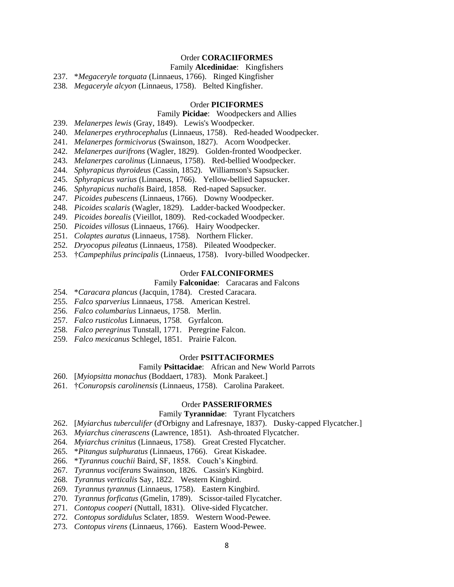# Order **CORACIIFORMES**

## Family **Alcedinidae**: Kingfishers

237. \**Megaceryle torquata* (Linnaeus, 1766). Ringed Kingfisher

238. *Megaceryle alcyon* (Linnaeus, 1758). Belted Kingfisher.

## Order **PICIFORMES**

# Family **Picidae**: Woodpeckers and Allies

- 239. *Melanerpes lewis* (Gray, 1849). Lewis's Woodpecker.
- 240. *Melanerpes erythrocephalus* (Linnaeus, 1758). Red-headed Woodpecker.
- 241. *Melanerpes formicivorus* (Swainson, 1827). Acorn Woodpecker.
- 242. *Melanerpes aurifrons* (Wagler, 1829). Golden-fronted Woodpecker.
- 243. *Melanerpes carolinus* (Linnaeus, 1758). Red-bellied Woodpecker.
- 244. *Sphyrapicus thyroideus* (Cassin, 1852). Williamson's Sapsucker.
- 245. *Sphyrapicus varius* (Linnaeus, 1766). Yellow-bellied Sapsucker.
- 246. *Sphyrapicus nuchalis* Baird, 1858. Red-naped Sapsucker.
- 247. *Picoides pubescens* (Linnaeus, 1766). Downy Woodpecker.
- 248. *Picoides scalaris* (Wagler, 1829). Ladder-backed Woodpecker.
- 249. *Picoides borealis* (Vieillot, 1809). Red-cockaded Woodpecker.
- 250. *Picoides villosus* (Linnaeus, 1766). Hairy Woodpecker.
- 251. *Colaptes auratus* (Linnaeus, 1758). Northern Flicker.
- 252. *Dryocopus pileatus* (Linnaeus, 1758). Pileated Woodpecker.
- 253. †*Campephilus principalis* (Linnaeus, 1758). Ivory-billed Woodpecker.

#### Order **FALCONIFORMES**

# Family **Falconidae**: Caracaras and Falcons

- 254. \**Caracara plancus* (Jacquin, 1784). Crested Caracara.
- 255. *Falco sparverius* Linnaeus, 1758. American Kestrel.
- 256. *Falco columbarius* Linnaeus, 1758. Merlin.
- 257. *Falco rusticolus* Linnaeus, 1758. Gyrfalcon.
- 258. *Falco peregrinus* Tunstall, 1771. Peregrine Falcon.
- 259. *Falco mexicanus* Schlegel, 1851. Prairie Falcon.

#### Order **PSITTACIFORMES**

### Family **Psittacidae**: African and New World Parrots

- 260. [*Myiopsitta monachus* (Boddaert, 1783). Monk Parakeet.]
- 261. †*Conuropsis carolinensis* (Linnaeus, 1758). Carolina Parakeet.

#### Order **PASSERIFORMES**

## Family **Tyrannidae**: Tyrant Flycatchers

- 262. [*Myiarchus tuberculifer* (d'Orbigny and Lafresnaye, 1837). Dusky-capped Flycatcher.]
- 263. *Myiarchus cinerascens* (Lawrence, 1851). Ash-throated Flycatcher.
- 264. *Myiarchus crinitus* (Linnaeus, 1758). Great Crested Flycatcher.
- 265. \**Pitangus sulphuratus* (Linnaeus, 1766). Great Kiskadee.
- 266. \**Tyrannus couchii* Baird, SF, 1858. Couch's Kingbird.
- 267. *Tyrannus vociferans* Swainson, 1826. Cassin's Kingbird.
- 268. *Tyrannus verticalis* Say, 1822. Western Kingbird.
- 269. *Tyrannus tyrannus* (Linnaeus, 1758). Eastern Kingbird.
- 270. *Tyrannus forficatus* (Gmelin, 1789). Scissor-tailed Flycatcher.
- 271. *Contopus cooperi* (Nuttall, 1831). Olive-sided Flycatcher.
- 272. *Contopus sordidulus* Sclater, 1859. Western Wood-Pewee.
- 273. *Contopus virens* (Linnaeus, 1766). Eastern Wood-Pewee.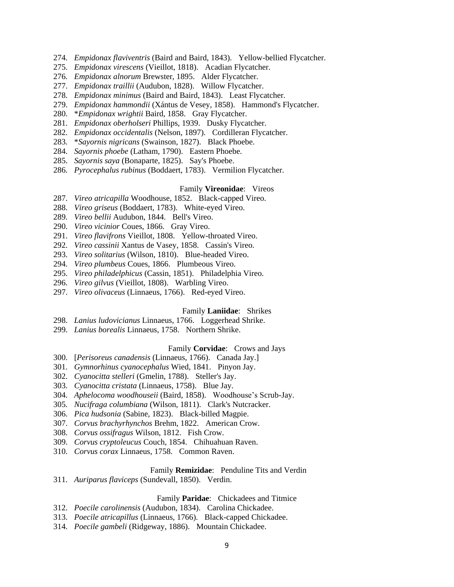- 274. *Empidonax flaviventris* (Baird and Baird, 1843). Yellow-bellied Flycatcher.
- 275. *Empidonax virescens* (Vieillot, 1818). Acadian Flycatcher.
- 276. *Empidonax alnorum* Brewster, 1895. Alder Flycatcher.
- 277. *Empidonax traillii* (Audubon, 1828). Willow Flycatcher.
- 278. *Empidonax minimus* (Baird and Baird, 1843). Least Flycatcher.
- 279. *Empidonax hammondii* (Xántus de Vesey, 1858). Hammond's Flycatcher.
- 280. \**Empidonax wrightii* Baird, 1858. Gray Flycatcher.
- 281. *Empidonax oberholseri* Phillips, 1939. Dusky Flycatcher.
- 282. *Empidonax occidentalis* (Nelson, 1897). Cordilleran Flycatcher.
- 283. \**Sayornis nigricans* (Swainson, 1827). Black Phoebe.
- 284. *Sayornis phoebe* (Latham, 1790). Eastern Phoebe.
- 285. *Sayornis saya* (Bonaparte, 1825). Say's Phoebe.
- 286. *Pyrocephalus rubinus* (Boddaert, 1783). Vermilion Flycatcher.

### Family **Vireonidae**: Vireos

- 287. *Vireo atricapilla* Woodhouse, 1852. Black-capped Vireo.
- 288. *Vireo griseus* (Boddaert, 1783). White-eyed Vireo.
- 289. *Vireo bellii* Audubon, 1844. Bell's Vireo.
- 290. *Vireo vicinior* Coues, 1866. Gray Vireo.
- 291. *Vireo flavifrons* Vieillot, 1808. Yellow-throated Vireo.
- 292. *Vireo cassinii* Xantus de Vasey, 1858. Cassin's Vireo.
- 293. *Vireo solitarius* (Wilson, 1810). Blue-headed Vireo.
- 294. *Vireo plumbeus* Coues, 1866. Plumbeous Vireo.
- 295. *Vireo philadelphicus* (Cassin, 1851). Philadelphia Vireo.
- 296. *Vireo gilvus* (Vieillot, 1808). Warbling Vireo.
- 297. *Vireo olivaceus* (Linnaeus, 1766). Red-eyed Vireo.

### Family **Laniidae**: Shrikes

- 298. *Lanius ludovicianus* Linnaeus, 1766. Loggerhead Shrike.
- 299. *Lanius borealis* Linnaeus, 1758. Northern Shrike.

## Family **Corvidae**: Crows and Jays

- 300. [*Perisoreus canadensis* (Linnaeus, 1766). Canada Jay.]
- 301. *Gymnorhinus cyanocephalus* Wied, 1841. Pinyon Jay.
- 302. *Cyanocitta stelleri* (Gmelin, 1788). Steller's Jay.
- 303. *Cyanocitta cristata* (Linnaeus, 1758). Blue Jay.
- 304. *Aphelocoma woodhouseii* (Baird, 1858). Woodhouse's Scrub-Jay.
- 305. *Nucifraga columbiana* (Wilson, 1811). Clark's Nutcracker.
- 306. *Pica hudsonia* (Sabine, 1823). Black-billed Magpie.
- 307. *Corvus brachyrhynchos* Brehm, 1822. American Crow.
- 308. *Corvus ossifragus* Wilson, 1812. Fish Crow.
- 309. *Corvus cryptoleucus* Couch, 1854. Chihuahuan Raven.
- 310. *Corvus corax* Linnaeus, 1758. Common Raven.

### Family **Remizidae**: Penduline Tits and Verdin

311. *Auriparus flaviceps* (Sundevall, 1850). Verdin.

#### Family **Paridae**: Chickadees and Titmice

- 312. *Poecile carolinensis* (Audubon, 1834). Carolina Chickadee.
- 313. *Poecile atricapillus* (Linnaeus, 1766). Black-capped Chickadee.
- 314. *Poecile gambeli* (Ridgeway, 1886). Mountain Chickadee.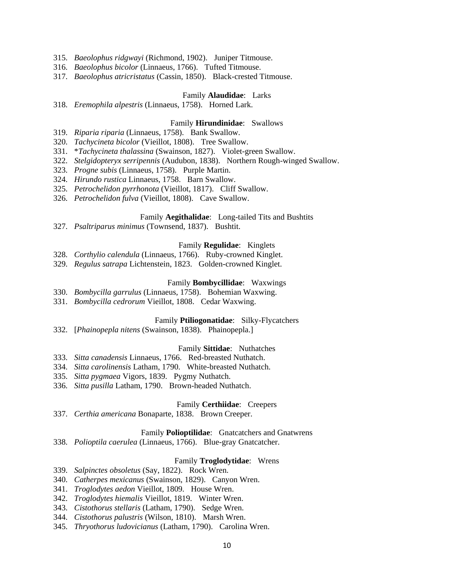- 315. *Baeolophus ridgwayi* (Richmond, 1902). Juniper Titmouse.
- 316. *Baeolophus bicolor* (Linnaeus, 1766). Tufted Titmouse.
- 317. *Baeolophus atricristatus* (Cassin, 1850). Black-crested Titmouse.

## Family **Alaudidae**: Larks

318. *Eremophila alpestris* (Linnaeus, 1758). Horned Lark.

### Family **Hirundinidae**: Swallows

- 319. *Riparia riparia* (Linnaeus, 1758). Bank Swallow.
- 320. *Tachycineta bicolor* (Vieillot, 1808). Tree Swallow.
- 331. \**Tachycineta thalassina* (Swainson, 1827). Violet-green Swallow.
- 322. *Stelgidopteryx serripennis* (Audubon, 1838). Northern Rough-winged Swallow.
- 323. *Progne subis* (Linnaeus, 1758). Purple Martin.
- 324. *Hirundo rustica* Linnaeus, 1758. Barn Swallow.
- 325. *Petrochelidon pyrrhonota* (Vieillot, 1817). Cliff Swallow.
- 326. *Petrochelidon fulva* (Vieillot, 1808). Cave Swallow.

### Family **Aegithalidae**: Long-tailed Tits and Bushtits

327. *Psaltriparus minimus* (Townsend, 1837). Bushtit.

#### Family **Regulidae**: Kinglets

- 328. *Corthylio calendula* (Linnaeus, 1766). Ruby-crowned Kinglet.
- 329. *Regulus satrapa* Lichtenstein, 1823. Golden-crowned Kinglet.

#### Family **Bombycillidae**: Waxwings

- 330. *Bombycilla garrulus* (Linnaeus, 1758). Bohemian Waxwing.
- 331. *Bombycilla cedrorum* Vieillot, 1808. Cedar Waxwing.

#### Family **Ptiliogonatidae**: Silky-Flycatchers

332. [*Phainopepla nitens* (Swainson, 1838). Phainopepla.]

## Family **Sittidae**: Nuthatches

- 333. *Sitta canadensis* Linnaeus, 1766. Red-breasted Nuthatch.
- 334. *Sitta carolinensis* Latham, 1790. White-breasted Nuthatch.
- 335. *Sitta pygmaea* Vigors, 1839. Pygmy Nuthatch.
- 336. *Sitta pusilla* Latham, 1790. Brown-headed Nuthatch.

#### Family **Certhiidae**: Creepers

337. *Certhia americana* Bonaparte, 1838. Brown Creeper.

## Family **Polioptilidae**: Gnatcatchers and Gnatwrens

338. *Polioptila caerulea* (Linnaeus, 1766). Blue-gray Gnatcatcher.

#### Family **Troglodytidae**: Wrens

- 339. *Salpinctes obsoletus* (Say, 1822). Rock Wren.
- 340. *Catherpes mexicanus* (Swainson, 1829). Canyon Wren.
- 341. *Troglodytes aedon* Vieillot, 1809. House Wren.
- 342. *Troglodytes hiemalis* Vieillot, 1819. Winter Wren.
- 343. *Cistothorus stellaris* (Latham, 1790). Sedge Wren.
- 344. *Cistothorus palustris* (Wilson, 1810). Marsh Wren.
- 345. *Thryothorus ludovicianus* (Latham, 1790). Carolina Wren.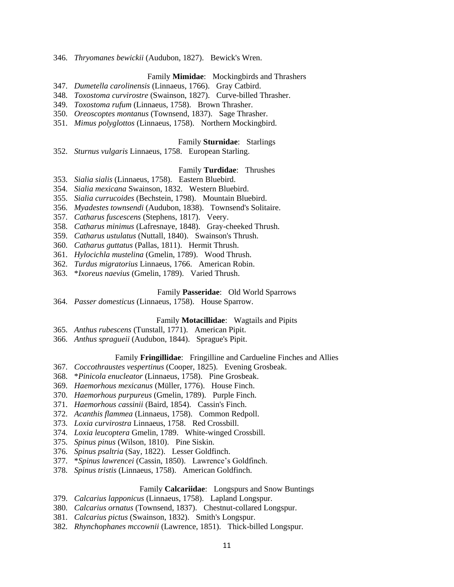346. *Thryomanes bewickii* (Audubon, 1827). Bewick's Wren.

# Family **Mimidae**: Mockingbirds and Thrashers

- 347. *Dumetella carolinensis* (Linnaeus, 1766). Gray Catbird.
- 348. *Toxostoma curvirostre* (Swainson, 1827). Curve-billed Thrasher.
- 349. *Toxostoma rufum* (Linnaeus, 1758). Brown Thrasher.
- 350. *Oreoscoptes montanus* (Townsend, 1837). Sage Thrasher.
- 351. *Mimus polyglottos* (Linnaeus, 1758). Northern Mockingbird.

# Family **Sturnidae**: Starlings

352. *Sturnus vulgaris* Linnaeus, 1758. European Starling.

# Family **Turdidae**: Thrushes

- 353. *Sialia sialis* (Linnaeus, 1758). Eastern Bluebird.
- 354. *Sialia mexicana* Swainson, 1832. Western Bluebird.
- 355. *Sialia currucoides* (Bechstein, 1798). Mountain Bluebird.
- 356. *Myadestes townsendi* (Audubon, 1838). Townsend's Solitaire.
- 357. *Catharus fuscescens* (Stephens, 1817). Veery.
- 358. *Catharus minimus* (Lafresnaye, 1848). Gray-cheeked Thrush.
- 359. *Catharus ustulatus* (Nuttall, 1840). Swainson's Thrush.
- 360. *Catharus guttatus* (Pallas, 1811). Hermit Thrush.
- 361. *Hylocichla mustelina* (Gmelin, 1789). Wood Thrush.
- 362. *Turdus migratorius* Linnaeus, 1766. American Robin.
- 363. \**Ixoreus naevius* (Gmelin, 1789). Varied Thrush.

### Family **Passeridae**: Old World Sparrows

364. *Passer domesticus* (Linnaeus, 1758). House Sparrow.

## Family **Motacillidae**: Wagtails and Pipits

- 365. *Anthus rubescens* (Tunstall, 1771). American Pipit.
- 366. *Anthus spragueii* (Audubon, 1844). Sprague's Pipit.

# Family **Fringillidae**: Fringilline and Cardueline Finches and Allies

- 367. *Coccothraustes vespertinus* (Cooper, 1825). Evening Grosbeak.
- 368. \**Pinicola enucleator* (Linnaeus, 1758). Pine Grosbeak.
- 369. *Haemorhous mexicanus* (Müller, 1776). House Finch.
- 370. *Haemorhous purpureus* (Gmelin, 1789). Purple Finch.
- 371. *Haemorhous cassinii* (Baird, 1854). Cassin's Finch.
- 372. *Acanthis flammea* (Linnaeus, 1758). Common Redpoll.
- 373. *Loxia curvirostra* Linnaeus, 1758. Red Crossbill.
- 374. *Loxia leucoptera* Gmelin, 1789. White-winged Crossbill.
- 375. *Spinus pinus* (Wilson, 1810). Pine Siskin.
- 376. *Spinus psaltria* (Say, 1822). Lesser Goldfinch.
- 377. \**Spinus lawrencei* (Cassin, 1850). Lawrence's Goldfinch.
- 378. *Spinus tristis* (Linnaeus, 1758). American Goldfinch.

### Family **Calcariidae**: Longspurs and Snow Buntings

379. *Calcarius lapponicus* (Linnaeus, 1758). Lapland Longspur.

- 380. *Calcarius ornatus* (Townsend, 1837). Chestnut-collared Longspur.
- 381. *Calcarius pictus* (Swainson, 1832). Smith's Longspur.
- 382. *Rhynchophanes mccownii* (Lawrence, 1851). Thick-billed Longspur.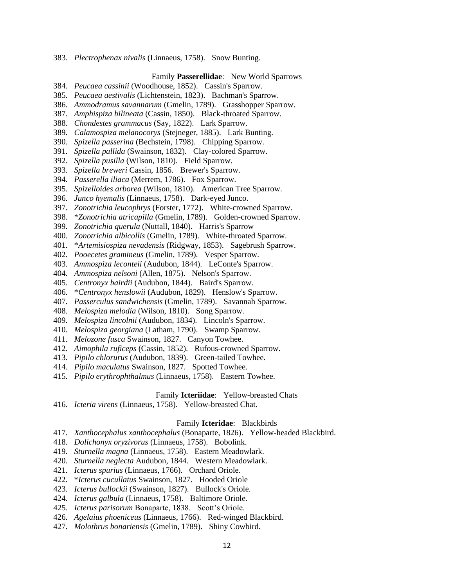383. *Plectrophenax nivalis* (Linnaeus, 1758). Snow Bunting.

## Family **Passerellidae**: New World Sparrows

- 384. *Peucaea cassinii* (Woodhouse, 1852). Cassin's Sparrow.
- 385. *Peucaea aestivalis* (Lichtenstein, 1823). Bachman's Sparrow.
- 386. *Ammodramus savannarum* (Gmelin, 1789). Grasshopper Sparrow.
- 387. *Amphispiza bilineata* (Cassin, 1850). Black-throated Sparrow.
- 388. *Chondestes grammacus* (Say, 1822). Lark Sparrow.
- 389. *Calamospiza melanocorys* (Stejneger, 1885). Lark Bunting.
- 390. *Spizella passerina* (Bechstein, 1798). Chipping Sparrow.
- 391. *Spizella pallida* (Swainson, 1832). Clay-colored Sparrow.
- 392. *Spizella pusilla* (Wilson, 1810). Field Sparrow.
- 393. *Spizella breweri* Cassin, 1856. Brewer's Sparrow.
- 394. *Passerella iliaca* (Merrem, 1786). Fox Sparrow.
- 395. *Spizelloides arborea* (Wilson, 1810). American Tree Sparrow.
- 396. *Junco hyemalis* (Linnaeus, 1758). Dark-eyed Junco.
- 397. *Zonotrichia leucophrys* (Forster, 1772). White-crowned Sparrow.
- 398. \**Zonotrichia atricapilla* (Gmelin, 1789). Golden-crowned Sparrow.
- 399. *Zonotrichia querula* (Nuttall, 1840). Harris's Sparrow
- 400. *Zonotrichia albicollis* (Gmelin, 1789). White-throated Sparrow.
- 401. \**Artemisiospiza nevadensis* (Ridgway, 1853). Sagebrush Sparrow.
- 402. *Pooecetes gramineus* (Gmelin, 1789). Vesper Sparrow.
- 403. *Ammospiza leconteii* (Audubon, 1844). LeConte's Sparrow.
- 404. *Ammospiza nelsoni* (Allen, 1875). Nelson's Sparrow.
- 405. *Centronyx bairdii* (Audubon, 1844). Baird's Sparrow.
- 406. \**Centronyx henslowii* (Audubon, 1829). Henslow's Sparrow.
- 407. *Passerculus sandwichensis* (Gmelin, 1789). Savannah Sparrow.
- 408. *Melospiza melodia* (Wilson, 1810). Song Sparrow.
- 409. *Melospiza lincolnii* (Audubon, 1834). Lincoln's Sparrow.
- 410. *Melospiza georgiana* (Latham, 1790). Swamp Sparrow.
- 411. *Melozone fusca* Swainson, 1827. Canyon Towhee.
- 412. *Aimophila ruficeps* (Cassin, 1852). Rufous-crowned Sparrow.
- 413. *Pipilo chlorurus* (Audubon, 1839). Green-tailed Towhee.
- 414. *Pipilo maculatus* Swainson, 1827. Spotted Towhee.
- 415. *Pipilo erythrophthalmus* (Linnaeus, 1758). Eastern Towhee.

#### Family **Icteriidae**: Yellow-breasted Chats

416. *Icteria virens* (Linnaeus, 1758). Yellow-breasted Chat.

#### Family **Icteridae**: Blackbirds

- 417. *Xanthocephalus xanthocephalus* (Bonaparte, 1826). Yellow-headed Blackbird.
- 418. *Dolichonyx oryzivorus* (Linnaeus, 1758). Bobolink.
- 419. *Sturnella magna* (Linnaeus, 1758). Eastern Meadowlark.
- 420. *Sturnella neglecta* Audubon, 1844. Western Meadowlark.
- 421. *Icterus spurius* (Linnaeus, 1766). Orchard Oriole.
- 422. \**Icterus cucullatus* Swainson, 1827. Hooded Oriole
- 423. *Icterus bullockii* (Swainson, 1827). Bullock's Oriole.
- 424. *Icterus galbula* (Linnaeus, 1758). Baltimore Oriole.
- 425. *Icterus parisorum* Bonaparte, 1838. Scott's Oriole.
- 426. *Agelaius phoeniceus* (Linnaeus, 1766). Red-winged Blackbird.
- 427. *Molothrus bonariensis* (Gmelin, 1789). Shiny Cowbird.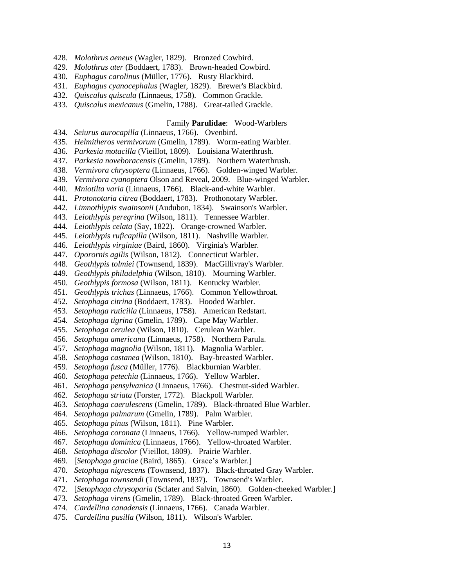- 428. *Molothrus aeneus* (Wagler, 1829). Bronzed Cowbird.
- 429. *Molothrus ater* (Boddaert, 1783). Brown-headed Cowbird.
- 430. *Euphagus carolinus* (Müller, 1776). Rusty Blackbird.
- 431. *Euphagus cyanocephalus* (Wagler, 1829). Brewer's Blackbird.
- 432. *Quiscalus quiscula* (Linnaeus, 1758). Common Grackle.
- 433. *Quiscalus mexicanus* (Gmelin, 1788). Great-tailed Grackle.

#### Family **Parulidae**: Wood-Warblers

- 434. *Seiurus aurocapilla* (Linnaeus, 1766). Ovenbird.
- 435. *Helmitheros vermivorum* (Gmelin, 1789). Worm-eating Warbler.
- 436. *Parkesia motacilla* (Vieillot, 1809). Louisiana Waterthrush.
- 437. *Parkesia noveboracensis* (Gmelin, 1789). Northern Waterthrush.
- 438. *Vermivora chrysoptera* (Linnaeus, 1766). Golden-winged Warbler.
- 439. *Vermivora cyanoptera* Olson and Reveal, 2009. Blue-winged Warbler.
- 440. *Mniotilta varia* (Linnaeus, 1766). Black-and-white Warbler.
- 441. *Protonotaria citrea* (Boddaert, 1783). Prothonotary Warbler.
- 442. *Limnothlypis swainsonii* (Audubon, 1834). Swainson's Warbler.
- 443. *Leiothlypis peregrina* (Wilson, 1811). Tennessee Warbler.
- 444. *Leiothlypis celata* (Say, 1822). Orange-crowned Warbler.
- 445. *Leiothlypis ruficapilla* (Wilson, 1811). Nashville Warbler.
- 446. *Leiothlypis virginiae* (Baird, 1860). Virginia's Warbler.
- 447. *Oporornis agilis* (Wilson, 1812). Connecticut Warbler.
- 448. *Geothlypis tolmiei* (Townsend, 1839). MacGillivray's Warbler.
- 449. *Geothlypis philadelphia* (Wilson, 1810). Mourning Warbler.
- 450. *Geothlypis formosa* (Wilson, 1811). Kentucky Warbler.
- 451. *Geothlypis trichas* (Linnaeus, 1766). Common Yellowthroat.
- 452. *Setophaga citrina* (Boddaert, 1783). Hooded Warbler.
- 453. *Setophaga ruticilla* (Linnaeus, 1758). American Redstart.
- 454. *Setophaga tigrina* (Gmelin, 1789). Cape May Warbler.
- 455. *Setophaga cerulea* (Wilson, 1810). Cerulean Warbler.
- 456. *Setophaga americana* (Linnaeus, 1758). Northern Parula.
- 457. *Setophaga magnolia* (Wilson, 1811). Magnolia Warbler.
- 458. *Setophaga castanea* (Wilson, 1810). Bay-breasted Warbler.
- 459. *Setophaga fusca* (Müller, 1776). Blackburnian Warbler.
- 460. *Setophaga petechia* (Linnaeus, 1766). Yellow Warbler.
- 461. *Setophaga pensylvanica* (Linnaeus, 1766). Chestnut-sided Warbler.
- 462. *Setophaga striata* (Forster, 1772). Blackpoll Warbler.
- 463. *Setophaga caerulescens* (Gmelin, 1789). Black-throated Blue Warbler.
- 464. *Setophaga palmarum* (Gmelin, 1789). Palm Warbler.
- 465. *Setophaga pinus* (Wilson, 1811). Pine Warbler.
- 466. *Setophaga coronata* (Linnaeus, 1766). Yellow-rumped Warbler.
- 467. *Setophaga dominica* (Linnaeus, 1766). Yellow-throated Warbler.
- 468. *Setophaga discolor* (Vieillot, 1809). Prairie Warbler.
- 469. [*Setophaga graciae* (Baird, 1865). Grace's Warbler.]
- 470. *Setophaga nigrescens* (Townsend, 1837). Black-throated Gray Warbler.
- 471. *Setophaga townsendi* (Townsend, 1837). Townsend's Warbler.
- 472. [*Setophaga chrysoparia* (Sclater and Salvin, 1860). Golden-cheeked Warbler.]
- 473. *Setophaga virens* (Gmelin, 1789). Black-throated Green Warbler.
- 474. *Cardellina canadensis* (Linnaeus, 1766). Canada Warbler.
- 475. *Cardellina pusilla* (Wilson, 1811). Wilson's Warbler.